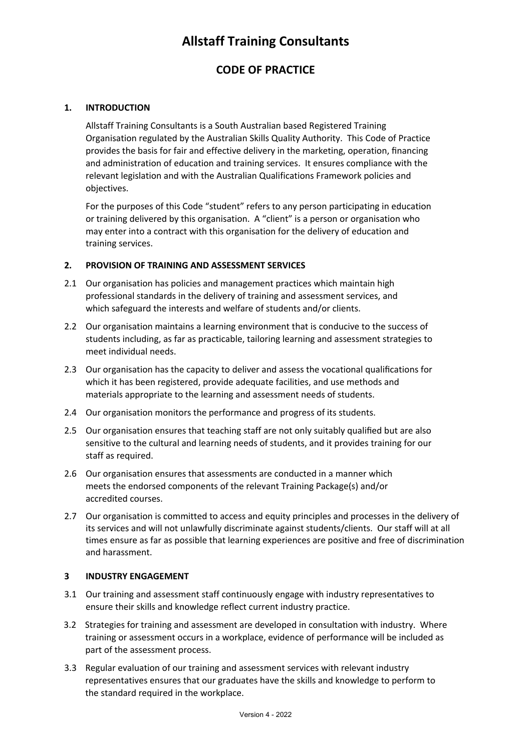# **Allstaff Training Consultants**

# **CODE OF PRACTICE**

# **1. INTRODUCTION**

Allstaff Training Consultants is a South Australian based Registered Training Organisation regulated by the Australian Skills Quality Authority. This Code of Practice provides the basis for fair and effective delivery in the marketing, operation, financing and administration of education and training services. It ensures compliance with the relevant legislation and with the Australian Qualifications Framework policies and objectives.

For the purposes of this Code "student" refers to any person participating in education or training delivered by this organisation. A "client" is a person or organisation who may enter into a contract with this organisation for the delivery of education and training services.

## **2. PROVISION OF TRAINING AND ASSESSMENT SERVICES**

- 2.1 Our organisation has policies and management practices which maintain high professional standards in the delivery of training and assessment services, and which safeguard the interests and welfare of students and/or clients.
- 2.2 Our organisation maintains a learning environment that is conducive to the success of students including, as far as practicable, tailoring learning and assessment strategies to meet individual needs.
- 2.3 Our organisation has the capacity to deliver and assess the vocational qualifications for which it has been registered, provide adequate facilities, and use methods and materials appropriate to the learning and assessment needs of students.
- 2.4 Our organisation monitors the performance and progress of its students.
- 2.5 Our organisation ensures that teaching staff are not only suitably qualified but are also sensitive to the cultural and learning needs of students, and it provides training for our staff as required.
- 2.6 Our organisation ensures that assessments are conducted in a manner which meets the endorsed components of the relevant Training Package(s) and/or accredited courses.
- 2.7 Our organisation is committed to access and equity principles and processes in the delivery of its services and will not unlawfully discriminate against students/clients. Our staff will at all times ensure as far as possible that learning experiences are positive and free of discrimination and harassment.

## **3 INDUSTRY ENGAGEMENT**

- 3.1 Our training and assessment staff continuously engage with industry representatives to ensure their skills and knowledge reflect current industry practice.
- 3.2 Strategies for training and assessment are developed in consultation with industry. Where training or assessment occurs in a workplace, evidence of performance will be included as part of the assessment process.
- 3.3 Regular evaluation of our training and assessment services with relevant industry representatives ensures that our graduates have the skills and knowledge to perform to the standard required in the workplace.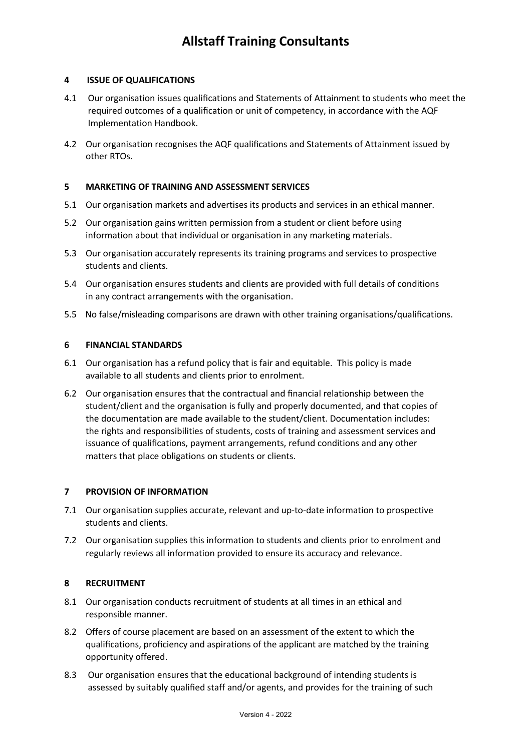# **4 ISSUE OF QUALIFICATIONS**

- 4.1 Our organisation issues qualifications and Statements of Attainment to students who meet the required outcomes of a qualification or unit of competency, in accordance with the AQF Implementation Handbook.
- 4.2 Our organisation recognises the AQF qualifications and Statements of Attainment issued by other RTOs.

## **5 MARKETING OF TRAINING AND ASSESSMENT SERVICES**

- 5.1 Our organisation markets and advertises its products and services in an ethical manner.
- 5.2 Our organisation gains written permission from a student or client before using information about that individual or organisation in any marketing materials.
- 5.3 Our organisation accurately represents its training programs and services to prospective students and clients.
- 5.4 Our organisation ensures students and clients are provided with full details of conditions in any contract arrangements with the organisation.
- 5.5 No false/misleading comparisons are drawn with other training organisations/qualifications.

# **6 FINANCIAL STANDARDS**

- 6.1 Our organisation has a refund policy that is fair and equitable. This policy is made available to all students and clients prior to enrolment.
- 6.2 Our organisation ensures that the contractual and financial relationship between the student/client and the organisation is fully and properly documented, and that copies of the documentation are made available to the student/client. Documentation includes: the rights and responsibilities of students, costs of training and assessment services and issuance of qualifications, payment arrangements, refund conditions and any other matters that place obligations on students or clients.

## **7 PROVISION OF INFORMATION**

- 7.1 Our organisation supplies accurate, relevant and up-to-date information to prospective students and clients.
- 7.2 Our organisation supplies this information to students and clients prior to enrolment and regularly reviews all information provided to ensure its accuracy and relevance.

## **8 RECRUITMENT**

- 8.1 Our organisation conducts recruitment of students at all times in an ethical and responsible manner.
- 8.2 Offers of course placement are based on an assessment of the extent to which the qualifications, proficiency and aspirations of the applicant are matched by the training opportunity offered.
- 8.3 Our organisation ensures that the educational background of intending students is assessed by suitably qualified staff and/or agents, and provides for the training of such